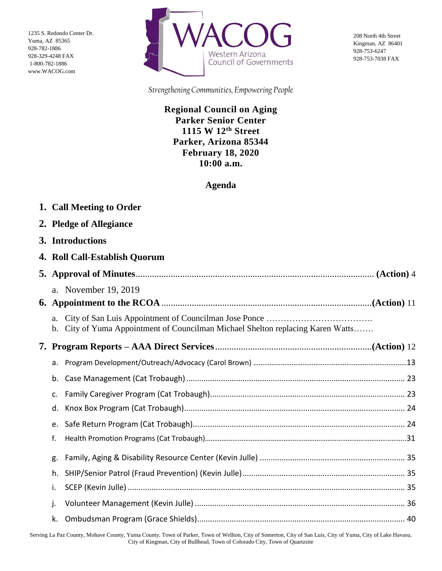1235 S. Redondo Center Dr. Yuma, AZ 85365 928-782-1886 928-329-4248 FAX 1-800-782-1886 www.WACOG.com



208 North 4th Street Kingman, AZ 86401 928-753-6247 928-753-7038 FAX

*Strengthening Communities, Empowering People*

**Regional Council on Aging Parker Senior Center 1115 W 12th Street Parker, Arizona 85344 February 18, 2020 10:00 a.m.**

## **Agenda**

| 1. Call Meeting to Order      |                                                                                 |  |  |  |
|-------------------------------|---------------------------------------------------------------------------------|--|--|--|
| 2. Pledge of Allegiance       |                                                                                 |  |  |  |
| 3. Introductions              |                                                                                 |  |  |  |
| 4. Roll Call-Establish Quorum |                                                                                 |  |  |  |
|                               |                                                                                 |  |  |  |
| a. November 19, 2019          |                                                                                 |  |  |  |
|                               |                                                                                 |  |  |  |
| a.                            | b. City of Yuma Appointment of Councilman Michael Shelton replacing Karen Watts |  |  |  |
|                               |                                                                                 |  |  |  |
| а.                            |                                                                                 |  |  |  |
| b.                            |                                                                                 |  |  |  |
| $\mathsf{C}$ .                |                                                                                 |  |  |  |
| d.                            |                                                                                 |  |  |  |
| e.                            |                                                                                 |  |  |  |
| f.                            |                                                                                 |  |  |  |
| g.                            |                                                                                 |  |  |  |
| h.                            |                                                                                 |  |  |  |
| i.                            |                                                                                 |  |  |  |
| j.                            |                                                                                 |  |  |  |
| k.                            |                                                                                 |  |  |  |

Serving La Paz County, Mohave County, Yuma County, Town of Parker, Town of Wellton, City of Somerton, City of San Luis, City of Yuma, City of Lake Havasu, City of Kingman, City of Bullhead, Town of Colorado City, Town of Quartzsite